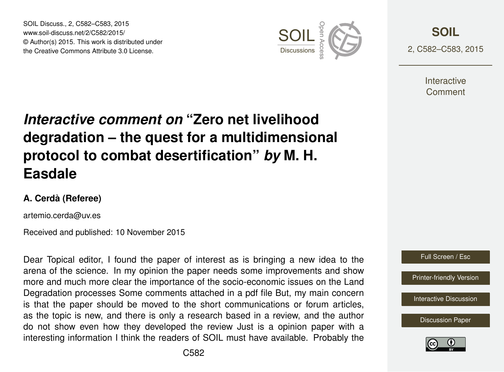SOIL Discuss., 2, C582–C583, 2015 www.soil-discuss.net/2/C582/2015/ © Author(s) 2015. This work is distributed under SOIL Discuss., 2, C582–C583, 2015<br>www.soil-discuss.net/2/C582/2015/<br>
© Author(s) 2015. This work is distributed under<br>
the Creative Commons Attribute 3.0 License. Discussions  $\frac{1}{8}$ 



**[SOIL](http://www.soil-discuss.net)** 2, C582–C583, 2015

> **Interactive** Comment

## *Interactive comment on* **"Zero net livelihood degradation – the quest for a multidimensional protocol to combat desertification"** *by* **M. H. Easdale**

## **A. Cerdà (Referee)**

artemio.cerda@uv.es

Received and published: 10 November 2015

Dear Topical editor, I found the paper of interest as is bringing a new idea to the arena of the science. In my opinion the paper needs some improvements and show more and much more clear the importance of the socio-economic issues on the Land Degradation processes Some comments attached in a pdf file But, my main concern is that the paper should be moved to the short communications or forum articles, as the topic is new, and there is only a research based in a review, and the author do not show even how they developed the review Just is a opinion paper with a interesting information I think the readers of SOIL must have available. Probably the



[Discussion Paper](http://www.soil-discuss.net/2/1161/2015/soild-2-1161-2015.pdf)